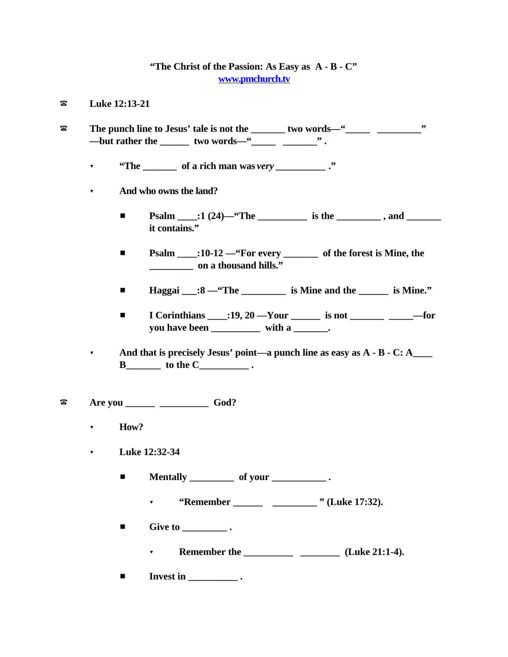## **"The Christ of the Passion: As Easy as A - B - C" www.pmchurch.tv**

- ? **Luke 12:13-21**
- ? **The punch line to Jesus' tale is not the \_\_\_\_\_\_\_ two words—"\_\_\_\_\_ \_\_\_\_\_\_\_\_\_"** —but rather the \_\_\_\_\_\_ two words—"\_\_\_\_\_ \_\_\_\_\_\_\_\_" .
	- ? **"The \_\_\_\_\_\_\_ of a rich man was** *very \_\_\_\_\_\_\_\_\_\_* **."**
	- ? **And who owns the land?**
		- $\blacksquare$  **Psalm** :1 (24)—"The is the , and **it contains."**
		- # **Psalm \_\_\_\_:10-12 —"For every \_\_\_\_\_\_\_ of the forest is Mine, the \_\_\_\_\_\_\_\_\_ on a thousand hills."**
		- **Haggai** \_\_:8 "The \_\_\_\_\_\_\_\_ is Mine and the \_\_\_\_\_\_ is Mine."
		- $\blacksquare$  I Corinthians  $\blacksquare$ :19, 20 —Your is not —for **you have been \_\_\_\_\_\_\_\_\_\_ with a \_\_\_\_\_\_\_.**
	- ? **And that is precisely Jesus' point—a punch line as easy as A B C: A\_\_\_\_ B** to the C index .
- ? **Are you \_\_\_\_\_\_ \_\_\_\_\_\_\_\_\_\_ God?**
	- ? **How?**
	- ? **Luke 12:32-34**
		- $\blacksquare$  **Mentally** \_\_\_\_\_\_\_\_\_\_\_ of your \_\_\_\_\_\_\_\_\_\_\_\_\_\_\_\_.
			- ? **"Remember \_\_\_\_\_\_ \_\_\_\_\_\_\_\_\_ " (Luke 17:32).**
		- $\blacksquare$  Give to  $\blacksquare$ .
			- ? **Remember the \_\_\_\_\_\_\_\_\_\_ \_\_\_\_\_\_\_\_ (Luke 21:1-4).**
		- $\blacksquare$  Invest in \_\_\_\_\_\_\_\_\_\_\_\_\_\_\_.